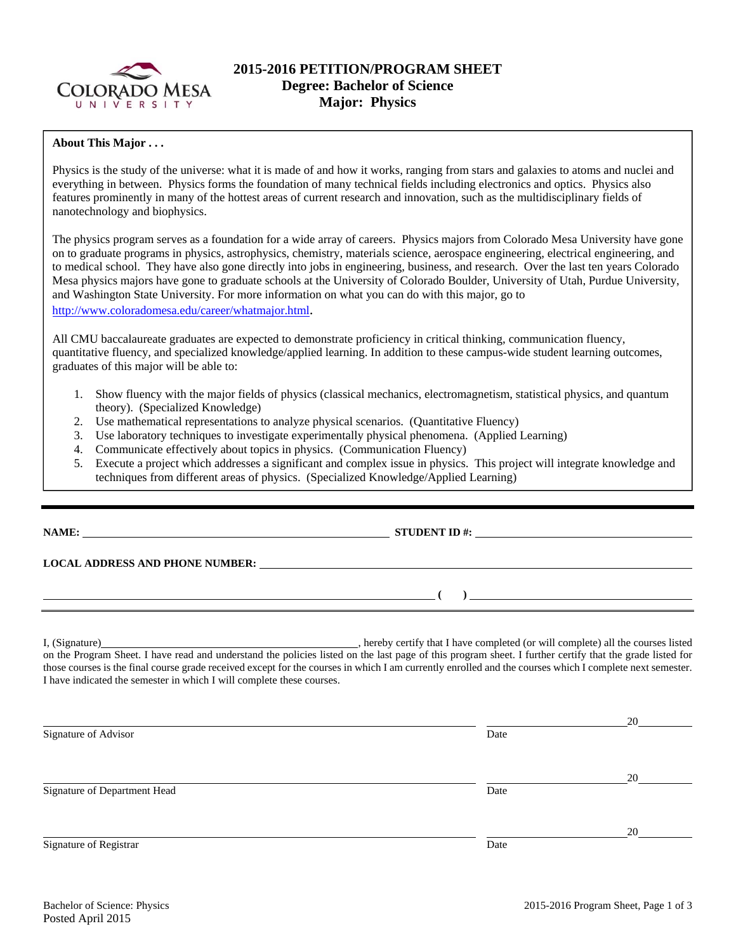

## **2015-2016 PETITION/PROGRAM SHEET Degree: Bachelor of Science Major: Physics**

### **About This Major . . .**

Physics is the study of the universe: what it is made of and how it works, ranging from stars and galaxies to atoms and nuclei and everything in between. Physics forms the foundation of many technical fields including electronics and optics. Physics also features prominently in many of the hottest areas of current research and innovation, such as the multidisciplinary fields of nanotechnology and biophysics.

The physics program serves as a foundation for a wide array of careers. Physics majors from Colorado Mesa University have gone on to graduate programs in physics, astrophysics, chemistry, materials science, aerospace engineering, electrical engineering, and to medical school. They have also gone directly into jobs in engineering, business, and research. Over the last ten years Colorado Mesa physics majors have gone to graduate schools at the University of Colorado Boulder, University of Utah, Purdue University, and Washington State University. For more information on what you can do with this major, go to http://www.coloradomesa.edu/career/whatmajor.html.

All CMU baccalaureate graduates are expected to demonstrate proficiency in critical thinking, communication fluency, quantitative fluency, and specialized knowledge/applied learning. In addition to these campus-wide student learning outcomes, graduates of this major will be able to:

- 1. Show fluency with the major fields of physics (classical mechanics, electromagnetism, statistical physics, and quantum theory). (Specialized Knowledge)
- 2. Use mathematical representations to analyze physical scenarios. (Quantitative Fluency)
- 3. Use laboratory techniques to investigate experimentally physical phenomena. (Applied Learning)
- 4. Communicate effectively about topics in physics. (Communication Fluency)
- 5. Execute a project which addresses a significant and complex issue in physics. This project will integrate knowledge and techniques from different areas of physics. (Specialized Knowledge/Applied Learning)

|                                                                       | NAME: $\qquad \qquad \qquad \textbf{STUDENT ID } #:$                                                                                                     |    |
|-----------------------------------------------------------------------|----------------------------------------------------------------------------------------------------------------------------------------------------------|----|
|                                                                       |                                                                                                                                                          |    |
|                                                                       | <u> произведения (при применении (при применении (при применении (при применении (при применении (при применении </u>                                    |    |
| I have indicated the semester in which I will complete these courses. | those courses is the final course grade received except for the courses in which I am currently enrolled and the courses which I complete next semester. |    |
|                                                                       |                                                                                                                                                          | 20 |
| Signature of Advisor                                                  | Date                                                                                                                                                     |    |
|                                                                       |                                                                                                                                                          | 20 |
| Signature of Department Head                                          | Date                                                                                                                                                     |    |
|                                                                       |                                                                                                                                                          | 20 |
| Signature of Registrar                                                | Date                                                                                                                                                     |    |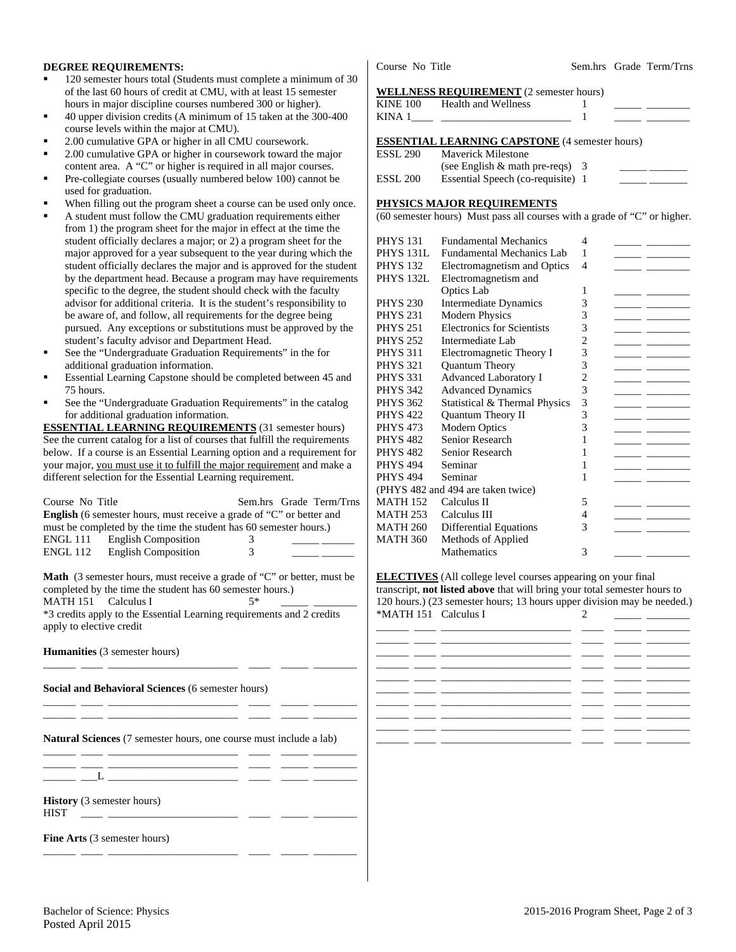### **DEGREE REQUIREMENTS:**

- 120 semester hours total (Students must complete a minimum of 30 of the last 60 hours of credit at CMU, with at least 15 semester hours in major discipline courses numbered 300 or higher).
- 40 upper division credits (A minimum of 15 taken at the 300-400 course levels within the major at CMU).
- 2.00 cumulative GPA or higher in all CMU coursework.
- 2.00 cumulative GPA or higher in coursework toward the major content area. A "C" or higher is required in all major courses.
- Pre-collegiate courses (usually numbered below 100) cannot be used for graduation.
- When filling out the program sheet a course can be used only once.
- A student must follow the CMU graduation requirements either from 1) the program sheet for the major in effect at the time the student officially declares a major; or 2) a program sheet for the major approved for a year subsequent to the year during which the student officially declares the major and is approved for the student by the department head. Because a program may have requirements specific to the degree, the student should check with the faculty advisor for additional criteria. It is the student's responsibility to be aware of, and follow, all requirements for the degree being pursued. Any exceptions or substitutions must be approved by the student's faculty advisor and Department Head.
- See the "Undergraduate Graduation Requirements" in the for additional graduation information.
- Essential Learning Capstone should be completed between 45 and 75 hours.
- See the "Undergraduate Graduation Requirements" in the catalog for additional graduation information.

**ESSENTIAL LEARNING REQUIREMENTS** (31 semester hours) See the current catalog for a list of courses that fulfill the requirements below. If a course is an Essential Learning option and a requirement for your major, you must use it to fulfill the major requirement and make a different selection for the Essential Learning requirement.

|                 | Course No Title                                                             |   | Sem.hrs Grade Term/Trns |
|-----------------|-----------------------------------------------------------------------------|---|-------------------------|
|                 | <b>English</b> (6 semester hours, must receive a grade of "C" or better and |   |                         |
|                 | must be completed by the time the student has 60 semester hours.)           |   |                         |
| ENGL 111        | <b>English Composition</b>                                                  | 3 |                         |
| <b>ENGL 112</b> | <b>English Composition</b>                                                  | 3 |                         |
|                 |                                                                             |   |                         |

**Math** (3 semester hours, must receive a grade of "C" or better, must be completed by the time the student has 60 semester hours.) MATH 151 Calculus I  $5^*$ \*3 credits apply to the Essential Learning requirements and 2 credits apply to elective credit

\_\_\_\_\_\_ \_\_\_\_ \_\_\_\_\_\_\_\_\_\_\_\_\_\_\_\_\_\_\_\_\_\_\_\_ \_\_\_\_ \_\_\_\_\_ \_\_\_\_\_\_\_\_

\_\_\_\_\_\_ \_\_\_\_ \_\_\_\_\_\_\_\_\_\_\_\_\_\_\_\_\_\_\_\_\_\_\_\_ \_\_\_\_ \_\_\_\_\_ \_\_\_\_\_\_\_\_ \_\_\_\_\_\_ \_\_\_\_ \_\_\_\_\_\_\_\_\_\_\_\_\_\_\_\_\_\_\_\_\_\_\_\_ \_\_\_\_ \_\_\_\_\_ \_\_\_\_\_\_\_\_

\_\_\_\_\_\_ \_\_\_\_ \_\_\_\_\_\_\_\_\_\_\_\_\_\_\_\_\_\_\_\_\_\_\_\_ \_\_\_\_ \_\_\_\_\_ \_\_\_\_\_\_\_\_

**Humanities** (3 semester hours)

**Social and Behavioral Sciences** (6 semester hours)

**Natural Sciences** (7 semester hours, one course must include a lab)

\_\_\_\_\_\_ \_\_\_\_ \_\_\_\_\_\_\_\_\_\_\_\_\_\_\_\_\_\_\_\_\_\_\_\_ \_\_\_\_ \_\_\_\_\_ \_\_\_\_\_\_\_\_ \_\_\_\_\_\_ \_\_\_\_ \_\_\_\_\_\_\_\_\_\_\_\_\_\_\_\_\_\_\_\_\_\_\_\_ \_\_\_\_ \_\_\_\_\_ \_\_\_\_\_\_\_\_  $\_\_\_$   $\_\_\_$ 

**History** (3 semester hours)

HIST \_\_\_\_ \_\_\_\_\_\_\_\_\_\_\_\_\_\_\_\_\_\_\_\_\_\_\_\_ \_\_\_\_ \_\_\_\_\_ \_\_\_\_\_\_\_\_

**Fine Arts** (3 semester hours)

Course No Title Sem.hrs Grade Term/Trns

#### **WELLNESS REQUIREMENT** (2 semester hours)

| KINE 100 Health and Wellness<br>KINA 1 $\qquad$                                      |  |  |
|--------------------------------------------------------------------------------------|--|--|
| <b>ESSENTIAL LEARNING CAPSTONE (4 semester hours)</b><br>ESSL 290 Maverick Milestone |  |  |

| ESSL 290 | Maverick Milestone                 |  |
|----------|------------------------------------|--|
|          | (see English $\&$ math pre-reqs) 3 |  |
| ESSL 200 | Essential Speech (co-requisite) 1  |  |

#### **PHYSICS MAJOR REQUIREMENTS**

(60 semester hours) Must pass all courses with a grade of "C" or higher.

| <b>PHYS 131</b>  | <b>Fundamental Mechanics</b>       | 4              |  |
|------------------|------------------------------------|----------------|--|
| <b>PHYS 131L</b> | <b>Fundamental Mechanics Lab</b>   | 1              |  |
| <b>PHYS 132</b>  | Electromagnetism and Optics        | 4              |  |
| <b>PHYS 132L</b> | Electromagnetism and               |                |  |
|                  | Optics Lab                         | 1              |  |
| <b>PHYS 230</b>  | <b>Intermediate Dynamics</b>       | 3              |  |
| <b>PHYS 231</b>  | Modern Physics                     | 3              |  |
| <b>PHYS 251</b>  | <b>Electronics for Scientists</b>  | 3              |  |
| <b>PHYS 252</b>  | Intermediate Lab                   | $\overline{2}$ |  |
| <b>PHYS 311</b>  | Electromagnetic Theory I           | 3              |  |
| <b>PHYS 321</b>  | Quantum Theory                     | 3              |  |
| <b>PHYS 331</b>  | <b>Advanced Laboratory I</b>       | 2              |  |
| <b>PHYS 342</b>  | <b>Advanced Dynamics</b>           | 3              |  |
| <b>PHYS 362</b>  | Statistical & Thermal Physics      | 3              |  |
| <b>PHYS 422</b>  | <b>Ouantum Theory II</b>           | 3              |  |
| <b>PHYS 473</b>  | Modern Optics                      | 3              |  |
| <b>PHYS 482</b>  | Senior Research                    | 1              |  |
| <b>PHYS 482</b>  | Senior Research                    | 1              |  |
| <b>PHYS 494</b>  | Seminar                            | 1              |  |
| <b>PHYS 494</b>  | Seminar                            | 1              |  |
|                  | (PHYS 482 and 494 are taken twice) |                |  |
| <b>MATH 152</b>  | Calculus II                        | 5              |  |
| <b>MATH 253</b>  | Calculus III                       | 4              |  |
| <b>MATH 260</b>  | <b>Differential Equations</b>      | 3              |  |
| <b>MATH 360</b>  | Methods of Applied                 |                |  |
|                  | <b>Mathematics</b>                 | 3              |  |

**ELECTIVES** (All college level courses appearing on your final transcript, **not listed above** that will bring your total semester hours to 120 hours.) (23 semester hours; 13 hours upper division may be needed.) \*MATH 151 Calculus I  $\overline{2}$ 

| ______ |  |  |
|--------|--|--|
|        |  |  |
|        |  |  |